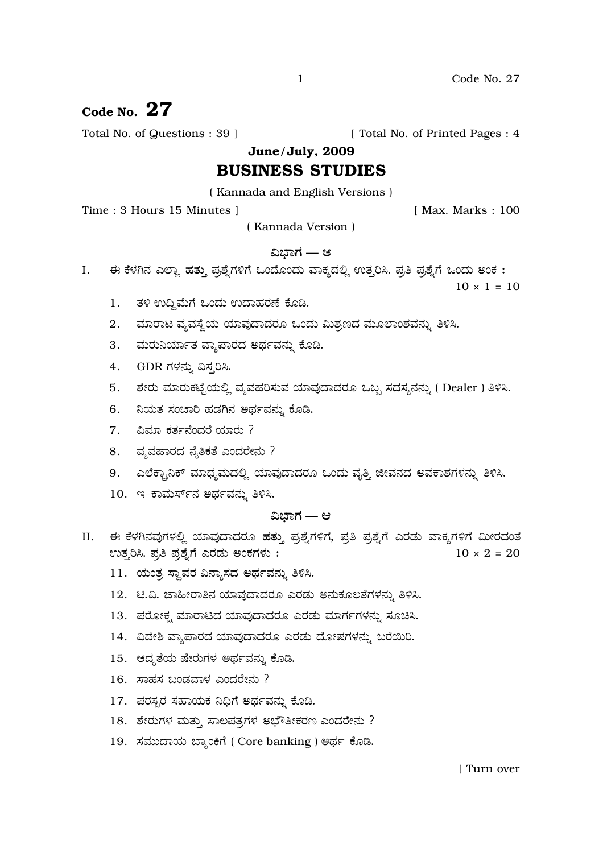# Code No.  $27$

Total No. of Questions : 39 ]

[ Total No. of Printed Pages : 4

June/July, 2009

# **BUSINESS STUDIES**

(Kannada and English Versions)

Time: 3 Hours 15 Minutes 1

[ Max. Marks: 100

(Kannada Version)

# ವಿಬಾಗ — ಅ

ಈ ಕೆಳಗಿನ ಎಲ್ಲಾ ಹತ್ತು ಪ್ರಶ್ನೆಗಳಿಗೆ ಒಂದೊಂದು ವಾಕ್ಯದಲ್ಲಿ ಉತ್ತರಿಸಿ. ಪ್ರತಿ ಪ್ರಶ್ನೆಗೆ ಒಂದು ಅಂಕ : I.

 $10 \times 1 = 10$ 

- 1. ತಳಿ ಉದ್ದಿಮೆಗೆ ಒಂದು ಉದಾಹರಣೆ ಕೊಡಿ.
- 2. ಮಾರಾಟ ವ್ಯವಸ್ಥೆಯ ಯಾವುದಾದರೂ ಒಂದು ಮಿಶ್ರಣದ ಮೂಲಾಂಶವನ್ನು ತಿಳಿಸಿ.
- 3. ಮರುನಿರ್ಯಾತ ವ್ಯಾಪಾರದ ಅರ್ಥವನ್ನು ಕೊಡಿ.
- 4. GDR ಗಳನ್ನು ವಿಸ್ತರಿಸಿ.
- 5. ಶೇರು ಮಾರುಕಟ್ಟೆಯಲ್ಲಿ ವ್ಯವಹರಿಸುವ ಯಾವುದಾದರೂ ಒಬ್ಬ ಸದಸ್ಯನನ್ನು (Dealer ) ತಿಳಿಸಿ.
- ನಿಯತ ಸಂಚಾರಿ ಹಡಗಿನ ಅರ್ಥವನ್ನು ಕೊಡಿ. 6.
- $7.$  ವಿಮಾ ಕರ್ತನೆಂದರೆ ಯಾರು ?
- 8. ವ್ಯವಹಾರದ ನೈತಿಕತೆ ಎಂದರೇನು ?
- 9. ಎಲೆಕ್ಟಾನಿಕ್ ಮಾಧ್ಯಮದಲ್ಲಿ ಯಾವುದಾದರೂ ಒಂದು ವೃತ್ತಿ ಜೀವನದ ಅವಕಾಶಗಳನ್ನು ತಿಳಿಸಿ.
- 10. ಇ-ಕಾಮರ್ಸ್ ನ ಅರ್ಥವನ್ನು ತಿಳಿಸಿ.

## ವಿಬಾಗ — ಆ

- ಈ ಕೆಳಗಿನವುಗಳಲ್ಲಿ ಯಾವುದಾದರೂ ಹತ್ತು ಪ್ರಶ್ನೆಗಳಿಗೆ, ಪ್ರತಿ ಪ್ರಶ್ನೆಗೆ ಎರಡು ವಾಕ್ಯಗಳಿಗೆ ಮೀರದಂತೆ II. ಉತ್ತರಿಸಿ. ಪ್ರತಿ ಪ್ರಶ್ನೆಗೆ ಎರಡು ಅಂಕಗಳು:  $10 \times 2 = 20$ 
	- 11. ಯಂತ್ರ ಸ್ಥಾವರ ವಿನ್ಯಾಸದ ಅರ್ಥವನ್ನು ತಿಳಿಸಿ.
	- 12. ಟಿ.ವಿ. ಜಾಹೀರಾತಿನ ಯಾವುದಾದರೂ ಎರಡು ಅನುಕೂಲತೆಗಳನ್ನು ತಿಳಿಸಿ.
	- 13. ಪರೋಕ್ಷ ಮಾರಾಟದ ಯಾವುದಾದರೂ ಎರಡು ಮಾರ್ಗಗಳನ್ನು ಸೂಚಿಸಿ.
	- 14. ವಿದೇಶಿ ವ್ಯಾಪಾರದ ಯಾವುದಾದರೂ ಎರಡು ದೋಷಗಳನ್ನು ಬರೆಯಿರಿ.
	- 15. ಆದ್ಯತೆಯ ಷೇರುಗಳ ಅರ್ಥವನ್ನು ಕೊಡಿ.
	- 16. ಸಾಹಸ ಬಂಡವಾಳ ಎಂದರೇನು ?
	- 17. ಪರಸ್ಪರ ಸಹಾಯಕ ನಿಧಿಗೆ ಅರ್ಥವನ್ನು ಕೊಡಿ.
	- 18. ಶೇರುಗಳ ಮತ್ತು ಸಾಲಪತ್ರಗಳ ಅಭೌತೀಕರಣ ಎಂದರೇನು ?
	- 19. ಸಮುದಾಯ ಬ್ಯಾಂಕಿಗೆ ( Core banking ) ಅರ್ಥ ಕೊಡಿ.

 $\mathbf{1}$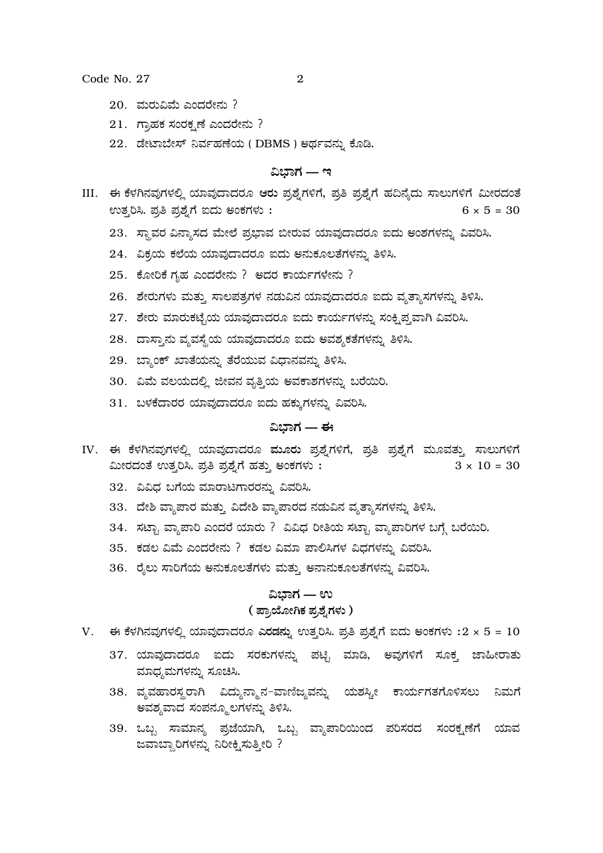Code No. 27

- $20.$  ಮರುವಿಮೆ ಎಂದರೇನು?
- 21. ಗ್ರಾಹಕ ಸಂರಕ್ಷಣೆ ಎಂದರೇನು ?
- 22. ಡೇಟಾಬೇಸ್ ನಿರ್ವಹಣೆಯ (DBMS) ಅರ್ಥವನ್ನು ಕೊಡಿ.

### ವಿಬಾಗ — ಇ

- III. ಈ ಕೆಳಗಿನವುಗಳಲ್ಲಿ ಯಾವುದಾದರೂ ಆರು ಪ್ರಶ್ನೆಗಳಿಗೆ, ಪ್ರತಿ ಪ್ರಶ್ನೆಗೆ ಹದಿನ್ಯೆದು ಸಾಲುಗಳಿಗೆ ಮೀರದಂತೆ ಉತ್ತರಿಸಿ. ಪ್ರತಿ ಪ್ರಶ್ನೆಗೆ ಐದು ಅಂಕಗಳು:  $6 \times 5 = 30$ 
	- 23. ಸ್ಥಾವರ ವಿನ್ಯಾಸದ ಮೇಲೆ ಪ್ರಭಾವ ಬೀರುವ ಯಾವುದಾದರೂ ಐದು ಅಂಶಗಳನ್ನು ವಿವರಿಸಿ.
	- 24. ವಿಕ್ರಯ ಕಲೆಯ ಯಾವುದಾದರೂ ಐದು ಅನುಕೂಲತೆಗಳನ್ನು ತಿಳಿಸಿ.
	- $25.$  ಕೋರಿಕೆ ಗೃಹ ಎಂದರೇನು ? ಅದರ ಕಾರ್ಯಗಳೇನು ?
	- 26. ಶೇರುಗಳು ಮತ್ತು ಸಾಲಪತ್ರಗಳ ನಡುವಿನ ಯಾವುದಾದರೂ ಐದು ವ್ಯತ್ಯಾಸಗಳನ್ನು ತಿಳಿಸಿ.
	- 27. ಶೇರು ಮಾರುಕಟೈಯ ಯಾವುದಾದರೂ ಐದು ಕಾರ್ಯಗಳನ್ನು ಸಂಕೃಪ್ತವಾಗಿ ವಿವರಿಸಿ.
	- 28. ದಾಸ್ತಾನು ವ್ಯವಸ್ಥೆಯ ಯಾವುದಾದರೂ ಐದು ಅವಶ್ಯಕತೆಗಳನ್ನು ತಿಳಿಸಿ.
	- 29. ಬ್ಯಾಂಕ್ ಖಾತೆಯನ್ನು ತೆರೆಯುವ ವಿಧಾನವನ್ನು ತಿಳಿಸಿ.
	- 30. ವಿಮೆ ವಲಯದಲ್ಲಿ ಜೀವನ ವೃತ್ತಿಯ ಅವಕಾಶಗಳನ್ನು ಬರೆಯಿರಿ.
	- 31. ಬಳಕೆದಾರರ ಯಾವುದಾದರೂ ಐದು ಹಕ್ಕುಗಳನ್ನು ವಿವರಿಸಿ.

# ವಿಭಾಗ — ಈ

- IV. ಈ ಕೆಳಗಿನವುಗಳಲ್ಲಿ ಯಾವುದಾದರೂ ಮೂರು ಪ್ರಶ್ನೆಗಳಿಗೆ, ಪ್ರತಿ ಪ್ರಶ್ನೆಗೆ ಮೂವತ್ತು ಸಾಲುಗಳಿಗೆ ಮೀರದಂತೆ ಉತ್ತರಿಸಿ. ಪ್ರತಿ ಪ್ರಶ್ನೆಗೆ ಹತ್ತು ಅಂಕಗಳು:  $3 \times 10 = 30$ 
	- 32. ವಿವಿಧ ಬಗೆಯ ಮಾರಾಟಗಾರರನ್ನು ವಿವರಿಸಿ.
	- 33. ದೇಶಿ ವ್ಯಾಪಾರ ಮತ್ತು ವಿದೇಶಿ ವ್ಯಾಪಾರದ ನಡುವಿನ ವ್ಯತ್ಯಾಸಗಳನ್ನು ತಿಳಿಸಿ.
	- 34. ಸಟ್ಟಾ ವ್ಯಾಪಾರಿ ಎಂದರೆ ಯಾರು ? ವಿವಿಧ ರೀತಿಯ ಸಟ್ಟಾ ವ್ಯಾಪಾರಿಗಳ ಬಗ್ಗೆ ಬರೆಯಿರಿ.
	- 35. ಕಡಲ ವಿಮೆ ಎಂದರೇನು ? ಕಡಲ ವಿಮಾ ಪಾಲಿಸಿಗಳ ವಿಧಗಳನ್ನು ವಿವರಿಸಿ.
	- 36. ರೈಲು ಸಾರಿಗೆಯ ಅನುಕೂಲತೆಗಳು ಮತ್ತು ಅನಾನುಕೂಲತೆಗಳನ್ನು ವಿವರಿಸಿ.

# ವಿಭಾಗ — ಉ ( ಪ್ರಾಯೋಗಿಕ ಪ್ರಶ್ನೆಗಳು )

- V. ಈ ಕೆಳಗಿನವುಗಳಲ್ಲಿ ಯಾವುದಾದರೂ ಎರಡನ್ನು ಉತ್ತರಿಸಿ. ಪ್ರತಿ ಪ್ರಶ್ನೆಗೆ ಐದು ಅಂಕಗಳು : $2 \times 5 = 10$ 
	- 37. ಯಾವುದಾದರೂ ಐದು ಸರಕುಗಳನ್ನು ಪಟ್ಟಿ ಮಾಡಿ, ಅವುಗಳಿಗೆ ಸೂಕ್ತ ಜಾಹೀರಾತು ಮಾಧ್ಯಮಗಳನ್ನು ಸೂಚಿಸಿ.
	- 38. ವ್ಯವಹಾರಸ್ಥರಾಗಿ ವಿದ್ಯುನ್ಮಾನ−ವಾಣಿಜ್ಯವನ್ನು ಯಶಸ್ತೀ ಕಾರ್ಯಗತಗೊಳಿಸಲು ನಿಮಗೆ ಅವಶ್ಯವಾದ ಸಂಪನ್ಮೂಲಗಳನ್ನು ತಿಳಿಸಿ.
	- 39. ಒಬ್ಬ ಸಾಮಾನ್ಯ ಪ್ರಜೆಯಾಗಿ, ಒಬ್ಬ ವ್ಯಾಪಾರಿಯಿಂದ ಪರಿಸರದ ಸಂರಕ್ಷಣೆಗೆ ಯಾವ ಜವಾಬ್ದಾರಿಗಳನ್ನು ನಿರೀಕ್ಷಿಸುತ್ತೀರಿ ?

2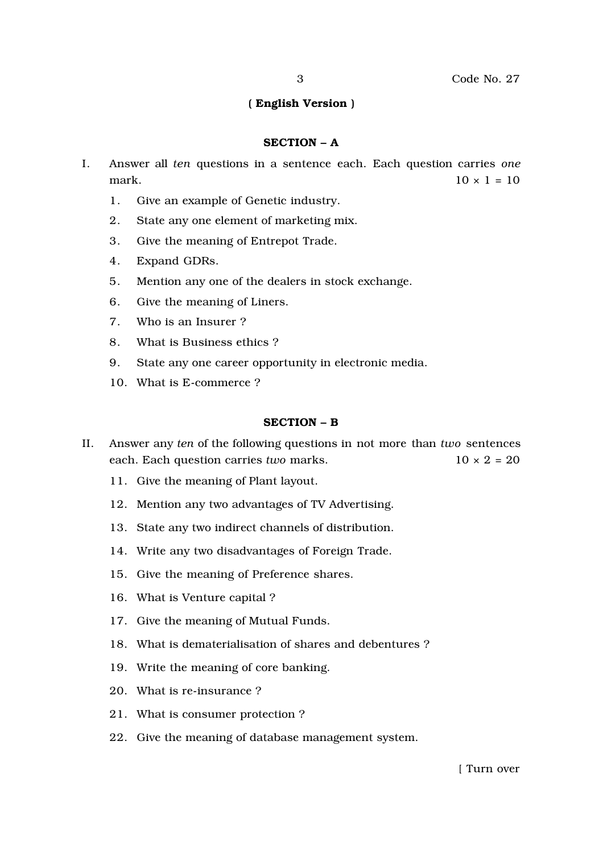# ( English Version )

#### SECTION – A

- I. Answer all *ten* questions in a sentence each. Each question carries *one* mark.  $10 \times 1 = 10$ 
	- 1. Give an example of Genetic industry.
	- 2. State any one element of marketing mix.
	- 3. Give the meaning of Entrepot Trade.
	- 4. Expand GDRs.
	- 5. Mention any one of the dealers in stock exchange.
	- 6. Give the meaning of Liners.
	- 7. Who is an Insurer ?
	- 8. What is Business ethics ?
	- 9. State any one career opportunity in electronic media.
	- 10. What is E-commerce ?

#### SECTION – B

- II. Answer any *ten* of the following questions in not more than *two* sentences each. Each question carries *two* marks.  $10 \times 2 = 20$ 
	- 11. Give the meaning of Plant layout.
	- 12. Mention any two advantages of TV Advertising.
	- 13. State any two indirect channels of distribution.
	- 14. Write any two disadvantages of Foreign Trade.
	- 15. Give the meaning of Preference shares.
	- 16. What is Venture capital ?
	- 17. Give the meaning of Mutual Funds.
	- 18. What is dematerialisation of shares and debentures ?
	- 19. Write the meaning of core banking.
	- 20. What is re-insurance ?
	- 21. What is consumer protection ?
	- 22. Give the meaning of database management system.